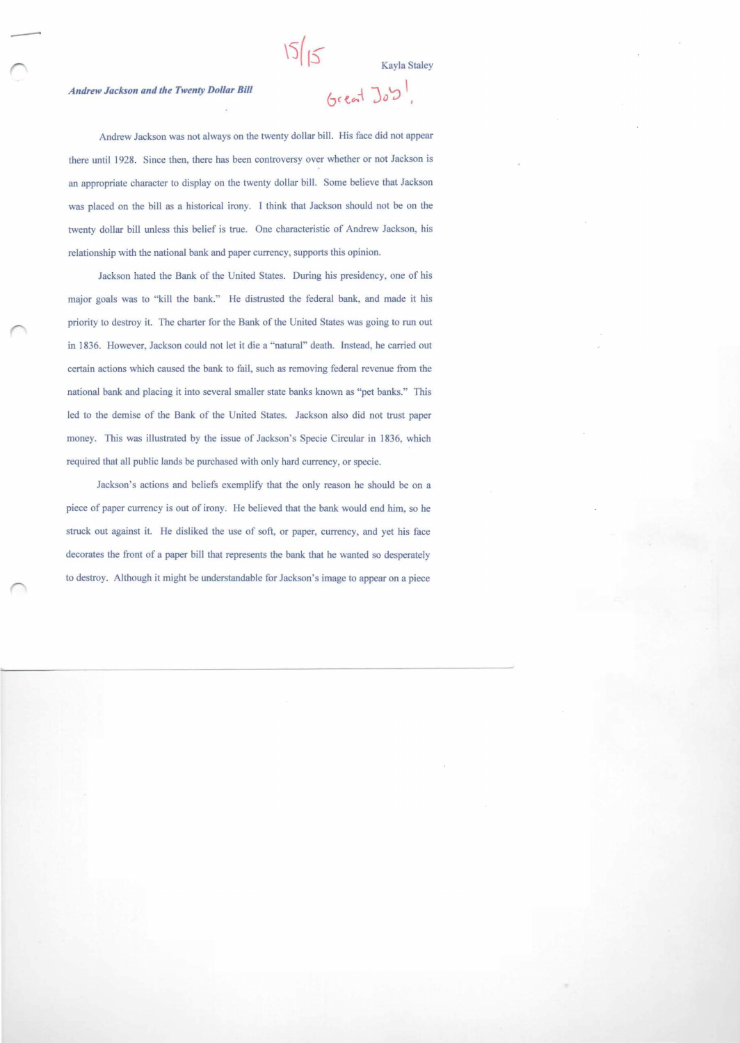## *Andrew Jackson and the Twenty Dollar Bill*

## Great  $J_0S$

Andrew Jackson was not always on the twenty dollar bill. His face did not appear there until 1928. Since then, there has been controversy over whether or not Jackson is an appropriate character to display on the twenty dollar bill. Some believe that Jackson was placed on the bill as a historical irony. I think that Jackson should not be on the twenty dollar bill unless this belief is true. One characteristic of Andrew Jackson, his relationship with the national bank and paper currency, supports this opinion.

Jackson hated the Bank of the United States. During his presidency, one of his major goals was to "kill the bank." He distrusted the federal bank, and made it his priority to destroy it. The charter for the Bank of the United States was going to run out in 1836. However, Jackson could not let it die a "natural" death. Instead, he carried out certain actions which caused the bank to fail, such as removing federal revenue from the national bank and placing it into several smaller state banks known as "pet banks." This led to the demise of the Bank of the United States. Jackson also did not trust paper money. This was illustrated by the issue of Jackson's Specie Circular in 1836, which required that all public lands be purchased with only hard currency, or specie.

Jackson's actions and beliefs exemplify that the only reason he should be on a piece of paper currency is out of irony. He believed that the bank would end him, so he struck out against it. He disliked the use of soft, or paper, currency, and yet his face decorates the front of a paper bill that represents the bank that he wanted so desperately to destroy. Although it might be understandable for Jackson s image to appear on a piece